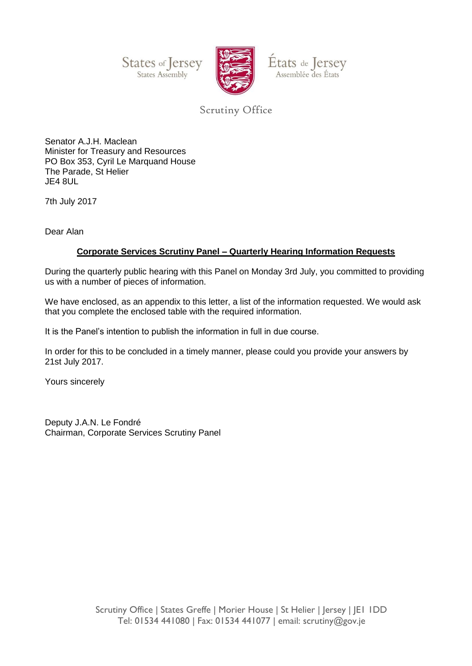States of Jersey States Assembly



États de Jersey Assemblée des États

Scrutiny Office

Senator A.J.H. Maclean Minister for Treasury and Resources PO Box 353, Cyril Le Marquand House The Parade, St Helier JE4 8UL

7th July 2017

Dear Alan

## **Corporate Services Scrutiny Panel – Quarterly Hearing Information Requests**

During the quarterly public hearing with this Panel on Monday 3rd July, you committed to providing us with a number of pieces of information.

We have enclosed, as an appendix to this letter, a list of the information requested. We would ask that you complete the enclosed table with the required information.

It is the Panel's intention to publish the information in full in due course.

In order for this to be concluded in a timely manner, please could you provide your answers by 21st July 2017.

Yours sincerely

Deputy J.A.N. Le Fondré Chairman, Corporate Services Scrutiny Panel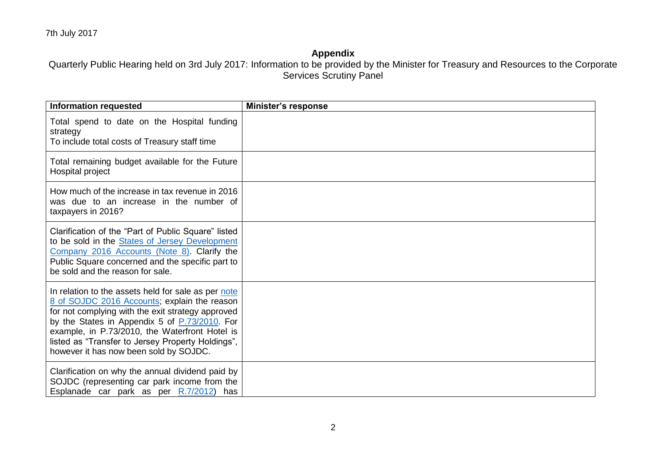## **Appendix**

Quarterly Public Hearing held on 3rd July 2017: Information to be provided by the Minister for Treasury and Resources to the Corporate Services Scrutiny Panel

| <b>Information requested</b>                                                                                                                                                                                                                                                                                                                               | <b>Minister's response</b> |
|------------------------------------------------------------------------------------------------------------------------------------------------------------------------------------------------------------------------------------------------------------------------------------------------------------------------------------------------------------|----------------------------|
| Total spend to date on the Hospital funding<br>strategy<br>To include total costs of Treasury staff time                                                                                                                                                                                                                                                   |                            |
| Total remaining budget available for the Future<br>Hospital project                                                                                                                                                                                                                                                                                        |                            |
| How much of the increase in tax revenue in 2016<br>was due to an increase in the number of<br>taxpayers in 2016?                                                                                                                                                                                                                                           |                            |
| Clarification of the "Part of Public Square" listed<br>to be sold in the States of Jersey Development<br>Company 2016 Accounts (Note 8). Clarify the<br>Public Square concerned and the specific part to<br>be sold and the reason for sale.                                                                                                               |                            |
| In relation to the assets held for sale as per note<br>8 of SOJDC 2016 Accounts; explain the reason<br>for not complying with the exit strategy approved<br>by the States in Appendix 5 of P.73/2010. For<br>example, in P.73/2010, the Waterfront Hotel is<br>listed as "Transfer to Jersey Property Holdings",<br>however it has now been sold by SOJDC. |                            |
| Clarification on why the annual dividend paid by<br>SOJDC (representing car park income from the<br>Esplanade car park as per R.7/2012) has                                                                                                                                                                                                                |                            |